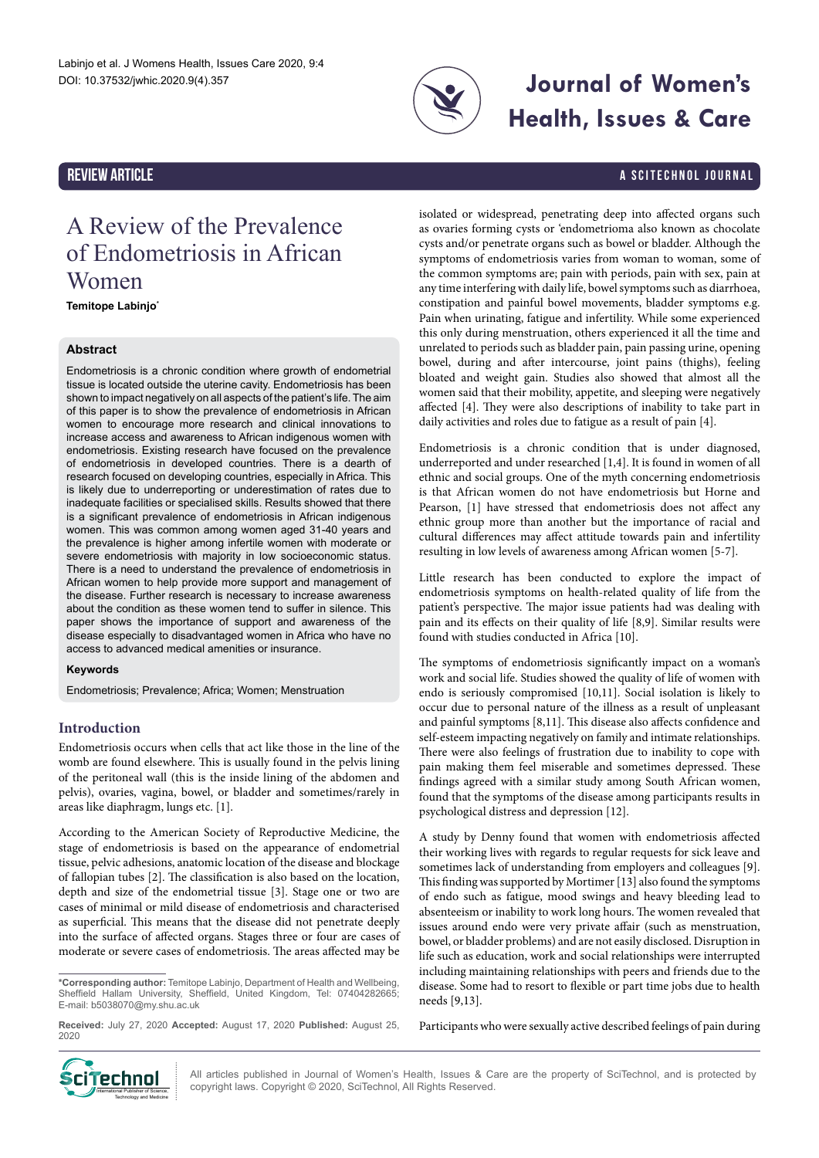

# **Journal of Women's Health, Issues & Care**

### REVIEW ARTICLE A SCITECHNOL JOURNAL A SCITECHNOL JOURNAL

## A Review of the Prevalence of Endometriosis in African Women

**Temitope Labinjo\***

#### **Abstract**

Endometriosis is a chronic condition where growth of endometrial tissue is located outside the uterine cavity. Endometriosis has been shown to impact negatively on all aspects of the patient's life. The aim of this paper is to show the prevalence of endometriosis in African women to encourage more research and clinical innovations to increase access and awareness to African indigenous women with endometriosis. Existing research have focused on the prevalence of endometriosis in developed countries. There is a dearth of research focused on developing countries, especially in Africa. This is likely due to underreporting or underestimation of rates due to inadequate facilities or specialised skills. Results showed that there is a significant prevalence of endometriosis in African indigenous women. This was common among women aged 31-40 years and the prevalence is higher among infertile women with moderate or severe endometriosis with majority in low socioeconomic status. There is a need to understand the prevalence of endometriosis in African women to help provide more support and management of the disease. Further research is necessary to increase awareness about the condition as these women tend to suffer in silence. This paper shows the importance of support and awareness of the disease especially to disadvantaged women in Africa who have no access to advanced medical amenities or insurance.

#### **Keywords**

Endometriosis; Prevalence; Africa; Women; Menstruation

#### **Introduction**

Endometriosis occurs when cells that act like those in the line of the womb are found elsewhere. This is usually found in the pelvis lining of the peritoneal wall (this is the inside lining of the abdomen and pelvis), ovaries, vagina, bowel, or bladder and sometimes/rarely in areas like diaphragm, lungs etc. [1].

According to the American Society of Reproductive Medicine, the stage of endometriosis is based on the appearance of endometrial tissue, pelvic adhesions, anatomic location of the disease and blockage of fallopian tubes [2]. The classification is also based on the location, depth and size of the endometrial tissue [3]. Stage one or two are cases of minimal or mild disease of endometriosis and characterised as superficial. This means that the disease did not penetrate deeply into the surface of affected organs. Stages three or four are cases of moderate or severe cases of endometriosis. The areas affected may be

isolated or widespread, penetrating deep into affected organs such as ovaries forming cysts or 'endometrioma also known as chocolate cysts and/or penetrate organs such as bowel or bladder. Although the symptoms of endometriosis varies from woman to woman, some of the common symptoms are; pain with periods, pain with sex, pain at any time interfering with daily life, bowel symptoms such as diarrhoea, constipation and painful bowel movements, bladder symptoms e.g. Pain when urinating, fatigue and infertility. While some experienced this only during menstruation, others experienced it all the time and unrelated to periods such as bladder pain, pain passing urine, opening bowel, during and after intercourse, joint pains (thighs), feeling bloated and weight gain. Studies also showed that almost all the women said that their mobility, appetite, and sleeping were negatively affected [4]. They were also descriptions of inability to take part in daily activities and roles due to fatigue as a result of pain [4].

Endometriosis is a chronic condition that is under diagnosed, underreported and under researched [1,4]. It is found in women of all ethnic and social groups. One of the myth concerning endometriosis is that African women do not have endometriosis but Horne and Pearson, [1] have stressed that endometriosis does not affect any ethnic group more than another but the importance of racial and cultural differences may affect attitude towards pain and infertility resulting in low levels of awareness among African women [5-7].

Little research has been conducted to explore the impact of endometriosis symptoms on health-related quality of life from the patient's perspective. The major issue patients had was dealing with pain and its effects on their quality of life [8,9]. Similar results were found with studies conducted in Africa [10].

The symptoms of endometriosis significantly impact on a woman's work and social life. Studies showed the quality of life of women with endo is seriously compromised [10,11]. Social isolation is likely to occur due to personal nature of the illness as a result of unpleasant and painful symptoms [8,11]. This disease also affects confidence and self-esteem impacting negatively on family and intimate relationships. There were also feelings of frustration due to inability to cope with pain making them feel miserable and sometimes depressed. These findings agreed with a similar study among South African women, found that the symptoms of the disease among participants results in psychological distress and depression [12].

A study by Denny found that women with endometriosis affected their working lives with regards to regular requests for sick leave and sometimes lack of understanding from employers and colleagues [9]. This finding was supported by Mortimer [13] also found the symptoms of endo such as fatigue, mood swings and heavy bleeding lead to absenteeism or inability to work long hours. The women revealed that issues around endo were very private affair (such as menstruation, bowel, or bladder problems) and are not easily disclosed. Disruption in life such as education, work and social relationships were interrupted including maintaining relationships with peers and friends due to the disease. Some had to resort to flexible or part time jobs due to health needs [9,13].

Participants who were sexually active described feelings of pain during



All articles published in Journal of Women's Health, Issues & Care are the property of SciTechnol, and is protected by copyright laws. Copyright © 2020, SciTechnol, All Rights Reserved.

**<sup>\*</sup>Corresponding author:** Temitope Labinjo, Department of Health and Wellbeing, Sheffield Hallam University, Sheffield, United Kingdom, Tel: 07404282665; E-mail: [b5038070@my.shu.ac.uk](mailto:b5038070@my.shu.ac.uk)

**Received:** July 27, 2020 **Accepted:** August 17, 2020 **Published:** August 25, 2020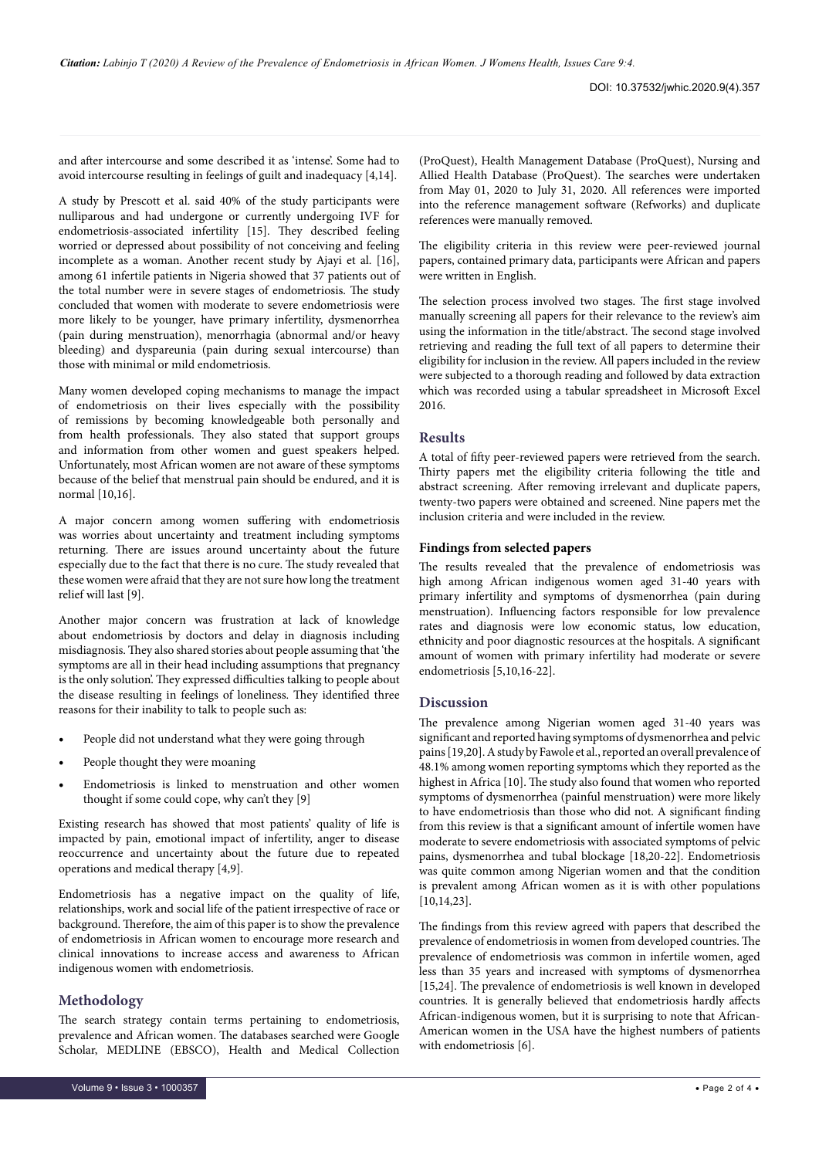and after intercourse and some described it as 'intense'. Some had to avoid intercourse resulting in feelings of guilt and inadequacy [4,14].

A study by Prescott et al. said 40% of the study participants were nulliparous and had undergone or currently undergoing IVF for endometriosis-associated infertility [15]. They described feeling worried or depressed about possibility of not conceiving and feeling incomplete as a woman. Another recent study by Ajayi et al. [16], among 61 infertile patients in Nigeria showed that 37 patients out of the total number were in severe stages of endometriosis. The study concluded that women with moderate to severe endometriosis were more likely to be younger, have primary infertility, dysmenorrhea (pain during menstruation), menorrhagia (abnormal and/or heavy bleeding) and dyspareunia (pain during sexual intercourse) than those with minimal or mild endometriosis.

Many women developed coping mechanisms to manage the impact of endometriosis on their lives especially with the possibility of remissions by becoming knowledgeable both personally and from health professionals. They also stated that support groups and information from other women and guest speakers helped. Unfortunately, most African women are not aware of these symptoms because of the belief that menstrual pain should be endured, and it is normal [10,16].

A major concern among women suffering with endometriosis was worries about uncertainty and treatment including symptoms returning. There are issues around uncertainty about the future especially due to the fact that there is no cure. The study revealed that these women were afraid that they are not sure how long the treatment relief will last [9].

Another major concern was frustration at lack of knowledge about endometriosis by doctors and delay in diagnosis including misdiagnosis. They also shared stories about people assuming that 'the symptoms are all in their head including assumptions that pregnancy is the only solution'. They expressed difficulties talking to people about the disease resulting in feelings of loneliness. They identified three reasons for their inability to talk to people such as:

- People did not understand what they were going through
- People thought they were moaning
- Endometriosis is linked to menstruation and other women thought if some could cope, why can't they [9]

Existing research has showed that most patients' quality of life is impacted by pain, emotional impact of infertility, anger to disease reoccurrence and uncertainty about the future due to repeated operations and medical therapy [4,9].

Endometriosis has a negative impact on the quality of life, relationships, work and social life of the patient irrespective of race or background. Therefore, the aim of this paper is to show the prevalence of endometriosis in African women to encourage more research and clinical innovations to increase access and awareness to African indigenous women with endometriosis.

#### **Methodology**

The search strategy contain terms pertaining to endometriosis, prevalence and African women. The databases searched were Google Scholar, MEDLINE (EBSCO), Health and Medical Collection

(ProQuest), Health Management Database (ProQuest), Nursing and Allied Health Database (ProQuest). The searches were undertaken from May 01, 2020 to July 31, 2020. All references were imported into the reference management software (Refworks) and duplicate references were manually removed.

The eligibility criteria in this review were peer-reviewed journal papers, contained primary data, participants were African and papers were written in English.

The selection process involved two stages. The first stage involved manually screening all papers for their relevance to the review's aim using the information in the title/abstract. The second stage involved retrieving and reading the full text of all papers to determine their eligibility for inclusion in the review. All papers included in the review were subjected to a thorough reading and followed by data extraction which was recorded using a tabular spreadsheet in Microsoft Excel 2016.

#### **Results**

A total of fifty peer-reviewed papers were retrieved from the search. Thirty papers met the eligibility criteria following the title and abstract screening. After removing irrelevant and duplicate papers, twenty-two papers were obtained and screened. Nine papers met the inclusion criteria and were included in the review.

#### **Findings from selected papers**

The results revealed that the prevalence of endometriosis was high among African indigenous women aged 31-40 years with primary infertility and symptoms of dysmenorrhea (pain during menstruation). Influencing factors responsible for low prevalence rates and diagnosis were low economic status, low education, ethnicity and poor diagnostic resources at the hospitals. A significant amount of women with primary infertility had moderate or severe endometriosis [5,10,16-22].

#### **Discussion**

The prevalence among Nigerian women aged 31-40 years was significant and reported having symptoms of dysmenorrhea and pelvic pains [19,20]. A study by Fawole et al., reported an overall prevalence of 48.1% among women reporting symptoms which they reported as the highest in Africa [10]. The study also found that women who reported symptoms of dysmenorrhea (painful menstruation) were more likely to have endometriosis than those who did not. A significant finding from this review is that a significant amount of infertile women have moderate to severe endometriosis with associated symptoms of pelvic pains, dysmenorrhea and tubal blockage [18,20-22]. Endometriosis was quite common among Nigerian women and that the condition is prevalent among African women as it is with other populations [10,14,23].

The findings from this review agreed with papers that described the prevalence of endometriosis in women from developed countries. The prevalence of endometriosis was common in infertile women, aged less than 35 years and increased with symptoms of dysmenorrhea [15,24]. The prevalence of endometriosis is well known in developed countries. It is generally believed that endometriosis hardly affects African-indigenous women, but it is surprising to note that African-American women in the USA have the highest numbers of patients with endometriosis [6].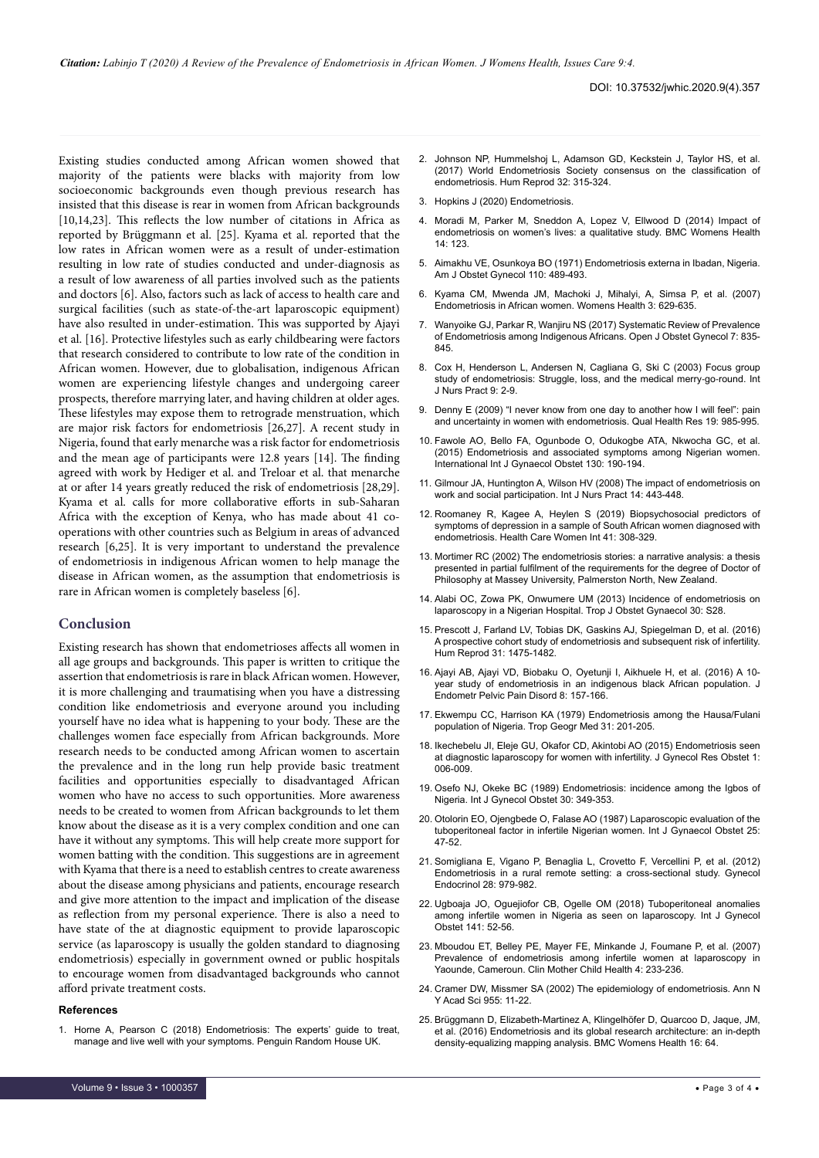Existing studies conducted among African women showed that majority of the patients were blacks with majority from low socioeconomic backgrounds even though previous research has insisted that this disease is rear in women from African backgrounds [10,14,23]. This reflects the low number of citations in Africa as reported by Brüggmann et al. [25]. Kyama et al. reported that the low rates in African women were as a result of under-estimation resulting in low rate of studies conducted and under-diagnosis as a result of low awareness of all parties involved such as the patients and doctors [6]. Also, factors such as lack of access to health care and surgical facilities (such as state-of-the-art laparoscopic equipment) have also resulted in under-estimation. This was supported by Ajayi et al. [16]. Protective lifestyles such as early childbearing were factors that research considered to contribute to low rate of the condition in African women. However, due to globalisation, indigenous African women are experiencing lifestyle changes and undergoing career prospects, therefore marrying later, and having children at older ages. These lifestyles may expose them to retrograde menstruation, which are major risk factors for endometriosis [26,27]. A recent study in Nigeria, found that early menarche was a risk factor for endometriosis and the mean age of participants were 12.8 years [14]. The finding agreed with work by Hediger et al. and Treloar et al. that menarche at or after 14 years greatly reduced the risk of endometriosis [28,29]. Kyama et al. calls for more collaborative efforts in sub-Saharan Africa with the exception of Kenya, who has made about 41 cooperations with other countries such as Belgium in areas of advanced research [6,25]. It is very important to understand the prevalence of endometriosis in indigenous African women to help manage the disease in African women, as the assumption that endometriosis is rare in African women is completely baseless [6].

#### **Conclusion**

Existing research has shown that endometrioses affects all women in all age groups and backgrounds. This paper is written to critique the assertion that endometriosis is rare in black African women. However, it is more challenging and traumatising when you have a distressing condition like endometriosis and everyone around you including yourself have no idea what is happening to your body. These are the challenges women face especially from African backgrounds. More research needs to be conducted among African women to ascertain the prevalence and in the long run help provide basic treatment facilities and opportunities especially to disadvantaged African women who have no access to such opportunities. More awareness needs to be created to women from African backgrounds to let them know about the disease as it is a very complex condition and one can have it without any symptoms. This will help create more support for women batting with the condition. This suggestions are in agreement with Kyama that there is a need to establish centres to create awareness about the disease among physicians and patients, encourage research and give more attention to the impact and implication of the disease as reflection from my personal experience. There is also a need to have state of the at diagnostic equipment to provide laparoscopic service (as laparoscopy is usually the golden standard to diagnosing endometriosis) especially in government owned or public hospitals to encourage women from disadvantaged backgrounds who cannot afford private treatment costs.

#### **References**

1. [Horne A, Pearson C \(2018\) Endometriosis: The experts' guide to treat,](https://endometriosis.org/resources/selfhelp-books/endometriosis-the-experts-guide-to-treat-manage-and-live-well-with-your-symptoms/)  [manage and live well with your symptoms. Penguin Random House UK.](https://endometriosis.org/resources/selfhelp-books/endometriosis-the-experts-guide-to-treat-manage-and-live-well-with-your-symptoms/)

- 2. [Johnson NP, Hummelshoj L, Adamson GD, Keckstein J, Taylor HS, et al.](https://research.monash.edu/en/publications/world-endometriosis-society-consensus-on-the-classification-of-en)  [\(2017\) World Endometriosis Society consensus on the classification of](https://research.monash.edu/en/publications/world-endometriosis-society-consensus-on-the-classification-of-en)  [endometriosis. Hum Reprod 32: 315-324.](https://research.monash.edu/en/publications/world-endometriosis-society-consensus-on-the-classification-of-en)
- 3. [Hopkins J \(2020\) Endometriosis.](https://www.hopkinsmedicine.org/health/conditions-and-diseases/endometriosis#:~:text=A staging%2C or classification%2C system,Stage 2%3A Mild)
- 4. [Moradi M, Parker M, Sneddon A, Lopez V, Ellwood D \(2014\) Impact of](https://bmcwomenshealth.biomedcentral.com/articles/10.1186/1472-6874-14-123)  [endometriosis on women's lives: a qualitative study. BMC Womens Health](https://bmcwomenshealth.biomedcentral.com/articles/10.1186/1472-6874-14-123)   $14:123$
- 5. [Aimakhu VE, Osunkoya BO \(1971\) Endometriosis externa in Ibadan, Nigeria.](https://www.sciencedirect.com/science/article/abs/pii/0002937871906892)  [Am J Obstet Gynecol 110: 489-493.](https://www.sciencedirect.com/science/article/abs/pii/0002937871906892)
- 6. [Kyama CM, Mwenda JM, Machoki J, Mihalyi, A, Simsa P, et al. \(2007\)](https://journals.sagepub.com/doi/full/10.2217/17455057.3.5.629)  [Endometriosis in African women. Womens Health 3: 629-635.](https://journals.sagepub.com/doi/full/10.2217/17455057.3.5.629)
- 7. [Wanyoike GJ, Parkar R, Wanjiru NS \(2017\) Systematic Review of Prevalence](https://www.scirp.org/journal/paperinformation.aspx?paperid=78114)  [of Endometriosis among Indigenous Africans. Open](https://www.scirp.org/journal/paperinformation.aspx?paperid=78114) J Obstet Gynecol 7: 835- [845.](https://www.scirp.org/journal/paperinformation.aspx?paperid=78114)
- 8. [Cox H, Henderson L, Andersen N, Cagliana G, Ski C \(2003\) Focus group](https://www.semanticscholar.org/paper/Focus-group-study-of-endometriosis%3A-struggle%2C-loss-Cox-Henderson/246a050e8de5f3eaa0aa2174932e080359978287)  [study of endometriosis: Struggle, loss, and the medical merry](https://www.semanticscholar.org/paper/Focus-group-study-of-endometriosis%3A-struggle%2C-loss-Cox-Henderson/246a050e8de5f3eaa0aa2174932e080359978287)‐go‐round. Int [J Nurs Pract](https://www.semanticscholar.org/paper/Focus-group-study-of-endometriosis%3A-struggle%2C-loss-Cox-Henderson/246a050e8de5f3eaa0aa2174932e080359978287) 9: 2-9.
- 9. [Denny E \(2009\) "I never know from one day to another how I will feel": pain](https://journals.sagepub.com/doi/10.1177/1049732309338725)  [and uncertainty in women with endometriosis. Qual Health Res 19: 985-995.](https://journals.sagepub.com/doi/10.1177/1049732309338725)
- 10. [Fawole AO, Bello FA, Ogunbode O, Odukogbe ATA, Nkwocha GC, et al.](https://www.sciencedirect.com/science/article/abs/pii/S0020729215002222)  [\(2015\) Endometriosis and associated symptoms among Nigerian women.](https://www.sciencedirect.com/science/article/abs/pii/S0020729215002222)  [International Int J Gynaecol Obstet 130: 190-194.](https://www.sciencedirect.com/science/article/abs/pii/S0020729215002222)
- 11. [Gilmour JA, Huntington A, Wilson HV \(2008\) The impact of endometriosis on](https://www.semanticscholar.org/paper/The-impact-of-endometriosis-on-work-and-social-Gilmour-Huntington/375e67b96f3ad6f76f4888b66f7b05815f3465e3)  [work and social participation. Int J Nurs Pract 14: 443-448.](https://www.semanticscholar.org/paper/The-impact-of-endometriosis-on-work-and-social-Gilmour-Huntington/375e67b96f3ad6f76f4888b66f7b05815f3465e3)
- 12. [Roomaney R, Kagee A, Heylen S \(2019\) Biopsychosocial predictors of](https://www.tandfonline.com/doi/abs/10.1080/07399332.2019.1624758)  [symptoms of depression in a sample of South African women diagnosed with](https://www.tandfonline.com/doi/abs/10.1080/07399332.2019.1624758)  [endometriosis. Health Care Women Int 41: 308-329.](https://www.tandfonline.com/doi/abs/10.1080/07399332.2019.1624758)
- 13. [Mortimer RC \(2002\) The endometriosis stories: a narrative analysis: a thesis](https://www.semanticscholar.org/paper/The-endometriosis-stories-%3A-a-narrative-analysis-%3A-Mortimer/b4fe62f004065b7f2741f282d729ae5a76d80b5e)  [presented in partial fulfilment of the requirements for the degree of Doctor of](https://www.semanticscholar.org/paper/The-endometriosis-stories-%3A-a-narrative-analysis-%3A-Mortimer/b4fe62f004065b7f2741f282d729ae5a76d80b5e)  [Philosophy at Massey University, Palmerston North, New Zealand.](https://www.semanticscholar.org/paper/The-endometriosis-stories-%3A-a-narrative-analysis-%3A-Mortimer/b4fe62f004065b7f2741f282d729ae5a76d80b5e)
- 14. Alabi OC, Zowa PK, Onwumere UM (2013) Incidence of endometriosis on laparoscopy in a Nigerian Hospital. Trop J Obstet Gynaecol 30: S28.
- 15. [Prescott J, Farland LV, Tobias DK, Gaskins AJ, Spiegelman D, et al. \(2016\)](https://doi.org/10.1093/humrep/dew085)  [A prospective cohort study of endometriosis and subsequent risk of infertility.](https://doi.org/10.1093/humrep/dew085)  [Hum Reprod 31: 1475-1482.](https://doi.org/10.1093/humrep/dew085)
- 16. [Ajayi AB, Ajayi VD, Biobaku O, Oyetunji I, Aikhuele H, et al. \(2016\) A 10](https://journals.sagepub.com/doi/abs/10.5301/je.5000263) [year study of endometriosis in an indigenous black African population. J](https://journals.sagepub.com/doi/abs/10.5301/je.5000263)  Endometr Pelvic Pain [Disord 8: 157-166.](https://journals.sagepub.com/doi/abs/10.5301/je.5000263)
- 17. [Ekwempu CC, Harrison KA \(1979\) Endometriosis among the Hausa/Fulani](https://www.semanticscholar.org/paper/Endometriosis-among-the-Hausa%2FFulani-population-of-Ekwempu-Harrison/91894f4dc15ac5816fd76085b2d9d3e30ad37732)  [population of Nigeria.](https://www.semanticscholar.org/paper/Endometriosis-among-the-Hausa%2FFulani-population-of-Ekwempu-Harrison/91894f4dc15ac5816fd76085b2d9d3e30ad37732) Trop Geogr Med 31: 201-205.
- 18. [Ikechebelu JI, Eleje GU, Okafor CD, Akintobi AO \(2015\) Endometriosis seen](https://www.peertechz.com/Gynecological-Research-Obstetrics/JGRO-1-102.php)  [at diagnostic laparoscopy for women with infertility. J Gynecol Res Obstet 1:](https://www.peertechz.com/Gynecological-Research-Obstetrics/JGRO-1-102.php)  [006-009.](https://www.peertechz.com/Gynecological-Research-Obstetrics/JGRO-1-102.php)
- 19. [Osefo NJ, Okeke BC \(1989\) Endometriosis: incidence among the Igbos of](https://obgyn.onlinelibrary.wiley.com/doi/abs/10.1016/0020-7292(89)90822-9)  Nigeria. Int [J Gynecol Obstet 30: 349-353.](https://obgyn.onlinelibrary.wiley.com/doi/abs/10.1016/0020-7292(89)90822-9)
- 20. [Otolorin EO, Ojengbede O, Falase AO \(1987\) Laparoscopic evaluation of the](https://www.academia.edu/21465528/Laparoscopic_evaluation_of_the_tuboperitoneal_factor_in_infertile_Nigerian_women?auto=download)  [tuboperitoneal factor in infertile Nigerian women.](https://www.academia.edu/21465528/Laparoscopic_evaluation_of_the_tuboperitoneal_factor_in_infertile_Nigerian_women?auto=download) Int J Gynaecol Obstet 25: [47-52.](https://www.academia.edu/21465528/Laparoscopic_evaluation_of_the_tuboperitoneal_factor_in_infertile_Nigerian_women?auto=download)
- 21. [Somigliana E, Vigano P, Benaglia L, Crovetto F, Vercellini P, et al. \(2012\)](https://www.tandfonline.com/doi/abs/10.3109/09513590.2012.683081?scroll=top&needAccess=true&journalCode=igye20)  [Endometriosis in a rural remote setting: a cross-sectional study. Gynecol](https://www.tandfonline.com/doi/abs/10.3109/09513590.2012.683081?scroll=top&needAccess=true&journalCode=igye20)  [Endocrinol 28: 979-982.](https://www.tandfonline.com/doi/abs/10.3109/09513590.2012.683081?scroll=top&needAccess=true&journalCode=igye20)
- 22. [Ugboaja JO, Oguejiofor CB, Ogelle OM \(2018\) Tuboperitoneal anomalies](https://obgyn.onlinelibrary.wiley.com/doi/abs/10.1002/ijgo.12401)  [among infertile women in Nigeria as seen on laparoscopy. Int](https://obgyn.onlinelibrary.wiley.com/doi/abs/10.1002/ijgo.12401) J Gynecol [Obstet 141: 52-56.](https://obgyn.onlinelibrary.wiley.com/doi/abs/10.1002/ijgo.12401)
- 23. [Mboudou ET, Belley PE, Mayer FE, Minkande J, Foumane P, et al. \(2007\)](https://www.ajol.info/index.php/cmch/article/view/35869)  [Prevalence of endometriosis among infertile women at laparoscopy in](https://www.ajol.info/index.php/cmch/article/view/35869)  Yaounde, Cameroun. Clin [Mother Child Health 4: 233-236.](https://www.ajol.info/index.php/cmch/article/view/35869)
- 24. [Cramer DW, Missmer SA \(2002\) The epidemiology of endometriosis.](https://nyaspubs.onlinelibrary.wiley.com/doi/abs/10.1111/j.1749-6632.2002.tb02761.x?sid=nlm%3Apubmed) Ann N Y Acad Sci [955: 11-22.](https://nyaspubs.onlinelibrary.wiley.com/doi/abs/10.1111/j.1749-6632.2002.tb02761.x?sid=nlm%3Apubmed)
- 25. [Brüggmann D, Elizabeth-Martinez A, Klingelhöfer D, Quarcoo D, Jaque, JM,](https://bmcwomenshealth.biomedcentral.com/articles/10.1186/s12905-016-0336-0)  [et al. \(2016\) Endometriosis and its global research architecture: an in-depth](https://bmcwomenshealth.biomedcentral.com/articles/10.1186/s12905-016-0336-0)  [density-equalizing mapping analysis. BMC Womens Health 16: 64.](https://bmcwomenshealth.biomedcentral.com/articles/10.1186/s12905-016-0336-0)